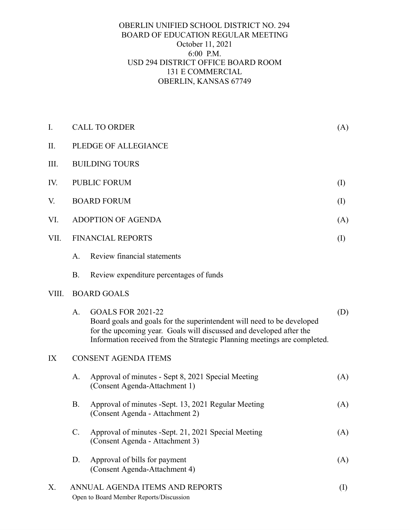## OBERLIN UNIFIED SCHOOL DISTRICT NO. 294 BOARD OF EDUCATION REGULAR MEETING October 11, 2021 6:00 P.M. USD 294 DISTRICT OFFICE BOARD ROOM 131 E COMMERCIAL OBERLIN, KANSAS 67749

| I.    | <b>CALL TO ORDER</b>        |                                                                                                                                                                                                                                                       | (A)       |
|-------|-----------------------------|-------------------------------------------------------------------------------------------------------------------------------------------------------------------------------------------------------------------------------------------------------|-----------|
| Π.    | PLEDGE OF ALLEGIANCE        |                                                                                                                                                                                                                                                       |           |
| III.  | <b>BUILDING TOURS</b>       |                                                                                                                                                                                                                                                       |           |
| IV.   | <b>PUBLIC FORUM</b>         |                                                                                                                                                                                                                                                       | (I)       |
| V.    | <b>BOARD FORUM</b>          |                                                                                                                                                                                                                                                       | $\rm (I)$ |
| VI.   | <b>ADOPTION OF AGENDA</b>   |                                                                                                                                                                                                                                                       | (A)       |
| VII.  |                             | <b>FINANCIAL REPORTS</b>                                                                                                                                                                                                                              | $\rm (I)$ |
|       | A.                          | Review financial statements                                                                                                                                                                                                                           |           |
|       | <b>B.</b>                   | Review expenditure percentages of funds                                                                                                                                                                                                               |           |
| VIII. | <b>BOARD GOALS</b>          |                                                                                                                                                                                                                                                       |           |
|       | A <sub>1</sub>              | <b>GOALS FOR 2021-22</b><br>Board goals and goals for the superintendent will need to be developed<br>for the upcoming year. Goals will discussed and developed after the<br>Information received from the Strategic Planning meetings are completed. | (D)       |
| IX    | <b>CONSENT AGENDA ITEMS</b> |                                                                                                                                                                                                                                                       |           |
|       | A.                          | Approval of minutes - Sept 8, 2021 Special Meeting<br>(Consent Agenda-Attachment 1)                                                                                                                                                                   | (A)       |
|       | <b>B.</b>                   | Approval of minutes -Sept. 13, 2021 Regular Meeting<br>(Consent Agenda - Attachment 2)                                                                                                                                                                | (A)       |
|       | $C_{\cdot}$                 | Approval of minutes -Sept. 21, 2021 Special Meeting<br>(Consent Agenda - Attachment 3)                                                                                                                                                                | (A)       |
|       | D.                          | Approval of bills for payment<br>(Consent Agenda-Attachment 4)                                                                                                                                                                                        | (A)       |
| Х.    |                             | ANNUAL AGENDA ITEMS AND REPORTS<br>$\rm (I)$<br>Open to Board Member Reports/Discussion                                                                                                                                                               |           |